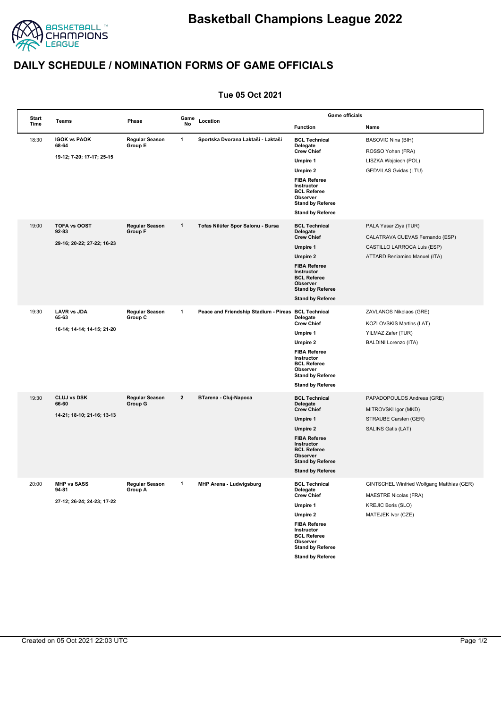

## **DAILY SCHEDULE / NOMINATION FORMS OF GAME OFFICIALS**

## **Tue 05 Oct 2021**

|  | Start<br>Time | Teams                                                     | Phase                            | Game<br>No     | Location                              | <b>Game officials</b>                                                                                                                 |                                                                            |
|--|---------------|-----------------------------------------------------------|----------------------------------|----------------|---------------------------------------|---------------------------------------------------------------------------------------------------------------------------------------|----------------------------------------------------------------------------|
|  |               |                                                           |                                  |                |                                       | <b>Function</b>                                                                                                                       | Name                                                                       |
|  | 18:30         | <b>IGOK vs PAOK</b><br>68-64                              | <b>Regular Season</b><br>Group E | 1              | Sportska Dvorana Laktaši - Laktaši    | <b>BCL Technical</b><br>Delegate                                                                                                      | <b>BASOVIC Nina (BIH)</b>                                                  |
|  |               | 19-12; 7-20; 17-17; 25-15                                 |                                  |                |                                       | <b>Crew Chief</b>                                                                                                                     | ROSSO Yohan (FRA)                                                          |
|  |               |                                                           |                                  |                |                                       | <b>Umpire 1</b>                                                                                                                       | LISZKA Wojciech (POL)                                                      |
|  |               |                                                           |                                  |                |                                       | Umpire 2<br><b>FIBA Referee</b><br>Instructor<br><b>BCL Referee</b><br>Observer<br><b>Stand by Referee</b><br><b>Stand by Referee</b> | GEDVILAS Gvidas (LTU)                                                      |
|  | 19:00         | <b>TOFA vs OOST</b>                                       | <b>Regular Season</b><br>Group F | $\mathbf{1}$   | Tofas Nilüfer Spor Salonu - Bursa     | <b>BCL Technical</b>                                                                                                                  | PALA Yasar Ziya (TUR)                                                      |
|  |               | 92-83<br>29 16; 20 22; 27 22; 16 23                       |                                  |                |                                       | Delegate<br><b>Crew Chief</b>                                                                                                         | CALATRAVA CUEVAS Fernando (ESP)                                            |
|  |               |                                                           |                                  |                |                                       | Umpire 1                                                                                                                              | CASTILLO LARROCA Luis (ESP)                                                |
|  |               |                                                           |                                  |                |                                       | Umpire 2                                                                                                                              | ATTARD Beniamino Manuel (ITA)                                              |
|  |               |                                                           |                                  |                |                                       | <b>FIBA Referee</b><br>Instructor<br><b>BCL Referee</b><br>Observer<br><b>Stand by Referee</b>                                        |                                                                            |
|  |               |                                                           |                                  |                |                                       | <b>Stand by Referee</b>                                                                                                               |                                                                            |
|  | 19:30         | <b>LAVR vs JDA</b><br>65-63<br>16-14; 14-14; 14-15; 21-20 | <b>Regular Season</b><br>Group C | $\mathbf{1}$   | Peace and Friendship Stadium - Pireas | <b>BCL Technical</b><br>Delegate<br><b>Crew Chief</b>                                                                                 | ZAVLANOS Nikolaos (GRE)                                                    |
|  |               |                                                           |                                  |                |                                       | <b>Umpire 1</b>                                                                                                                       | KOZLOVSKIS Martins (LAT)<br>YILMAZ Zafer (TUR)                             |
|  |               |                                                           |                                  |                |                                       | <b>Umpire 2</b>                                                                                                                       | BALDINI Lorenzo (ITA)                                                      |
|  |               |                                                           |                                  |                |                                       | <b>FIBA Referee</b><br>Instructor<br><b>BCL Referee</b><br>Observer<br><b>Stand by Referee</b><br><b>Stand by Referee</b>             |                                                                            |
|  |               |                                                           |                                  |                |                                       |                                                                                                                                       |                                                                            |
|  | 19:30         | <b>CLUJ vs DSK</b><br>66-60<br>14 21; 18 10; 21 16; 13 13 | <b>Regular Season</b><br>Group G | $\overline{2}$ | BTarena - Cluj-Napoca                 | <b>BCL Technical</b><br>Delegate<br><b>Crew Chief</b>                                                                                 | PAPADOPOULOS Andreas (GRE)<br>MITROVSKI Igor (MKD)                         |
|  |               |                                                           |                                  |                |                                       | Umpire 1                                                                                                                              | STRAUBE Carsten (GER)                                                      |
|  |               |                                                           |                                  |                |                                       | <b>Umpire 2</b>                                                                                                                       | SALINS Gatis (LAT)                                                         |
|  |               |                                                           |                                  |                |                                       | <b>FIBA Referee</b><br>Instructor<br><b>BCL Referee</b><br>Observer<br><b>Stand by Referee</b>                                        |                                                                            |
|  |               |                                                           |                                  |                |                                       | <b>Stand by Referee</b>                                                                                                               |                                                                            |
|  | 20:00         | <b>MHP vs SASS</b><br>94-81<br>27-12; 26-24; 24-23; 17-22 | <b>Regular Season</b><br>Group A | 1              | <b>MHP Arena - Ludwigsburg</b>        | <b>BCL Technical</b><br>Delegate<br><b>Crew Chief</b>                                                                                 | GINTSCHEL Winfried Wolfgang Matthias (GER)<br><b>MAESTRE Nicolas (FRA)</b> |
|  |               |                                                           |                                  |                |                                       | <b>Umpire 1</b>                                                                                                                       | <b>KREJIC Boris (SLO)</b>                                                  |
|  |               |                                                           |                                  |                |                                       | Umpire 2                                                                                                                              | MATEJEK Ivor (CZE)                                                         |
|  |               |                                                           |                                  |                |                                       | <b>FIBA Referee</b><br>Instructor<br><b>BCL Referee</b><br>Observer<br><b>Stand by Referee</b>                                        |                                                                            |
|  |               |                                                           |                                  |                |                                       | <b>Stand by Referee</b>                                                                                                               |                                                                            |